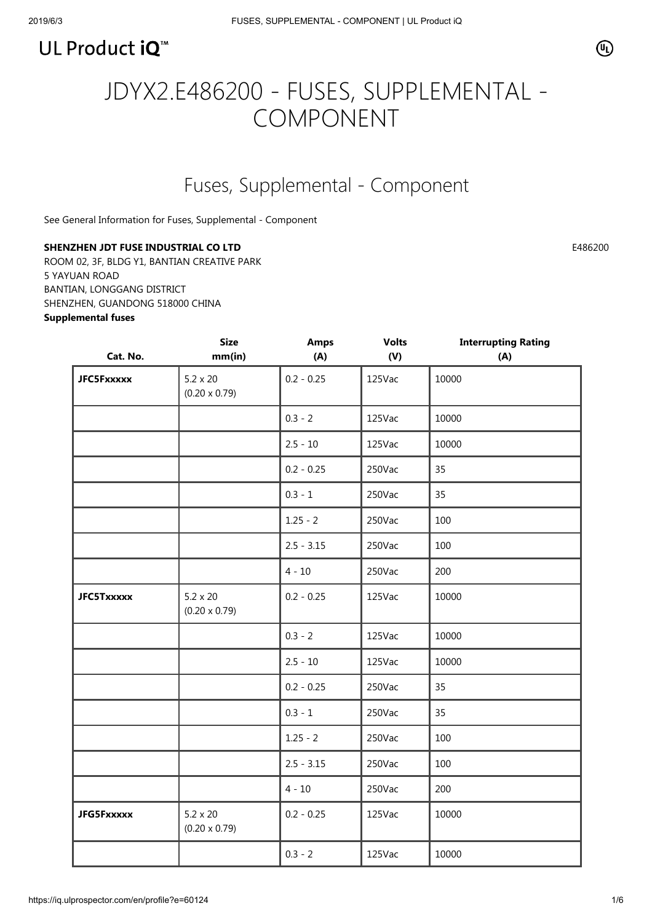

# JDYX2.E486200 - FUSES, SUPPLEMENTAL - COMPONENT

# Fuses, Supplemental - Component

[See General Information for Fuses, Supplemental - Component](https://iq.ulprospector.com/cgi-bin/XYV/template/LISEXT/1FRAME/showpage.html?&name=JDYX2.GuideInfo&ccnshorttitle=Fuses,+Supplemental+-+Component&objid=1073757256&cfgid=1073741824&version=versionless&parent_id=1073757255&sequence=1)

### SHENZHEN JDT FUSE INDUSTRIAL CO LTD **E486200**

ROOM 02, 3F, BLDG Y1, BANTIAN CREATIVE PARK 5 YAYUAN ROAD BANTIAN, LONGGANG DISTRICT SHENZHEN, GUANDONG 518000 CHINA Supplemental fuses

| Cat. No.          | <b>Size</b><br>mm(in)                   | <b>Amps</b><br>(A) | <b>Volts</b><br>(V) | <b>Interrupting Rating</b><br>(A) |
|-------------------|-----------------------------------------|--------------------|---------------------|-----------------------------------|
| <b>JFC5Fxxxxx</b> | $5.2 \times 20$<br>$(0.20 \times 0.79)$ | $0.2 - 0.25$       | 125Vac              | 10000                             |
|                   |                                         | $0.3 - 2$          | 125Vac              | 10000                             |
|                   |                                         | $2.5 - 10$         | 125Vac              | 10000                             |
|                   |                                         | $0.2 - 0.25$       | 250Vac              | 35                                |
|                   |                                         | $0.3 - 1$          | 250Vac              | 35                                |
|                   |                                         | $1.25 - 2$         | 250Vac              | 100                               |
|                   |                                         | $2.5 - 3.15$       | 250Vac              | 100                               |
|                   |                                         | $4 - 10$           | 250Vac              | 200                               |
| <b>JFC5Txxxxx</b> | $5.2 \times 20$<br>$(0.20 \times 0.79)$ | $0.2 - 0.25$       | 125Vac              | 10000                             |
|                   |                                         | $0.3 - 2$          | 125Vac              | 10000                             |
|                   |                                         | $2.5 - 10$         | 125Vac              | 10000                             |
|                   |                                         | $0.2 - 0.25$       | 250Vac              | 35                                |
|                   |                                         | $0.3 - 1$          | 250Vac              | 35                                |
|                   |                                         | $1.25 - 2$         | 250Vac              | 100                               |
|                   |                                         | $2.5 - 3.15$       | 250Vac              | 100                               |
|                   |                                         | $4 - 10$           | 250Vac              | 200                               |
| <b>JFG5Fxxxxx</b> | $5.2 \times 20$<br>$(0.20 \times 0.79)$ | $0.2 - 0.25$       | 125Vac              | 10000                             |
|                   |                                         | $0.3 - 2$          | 125Vac              | 10000                             |

⋒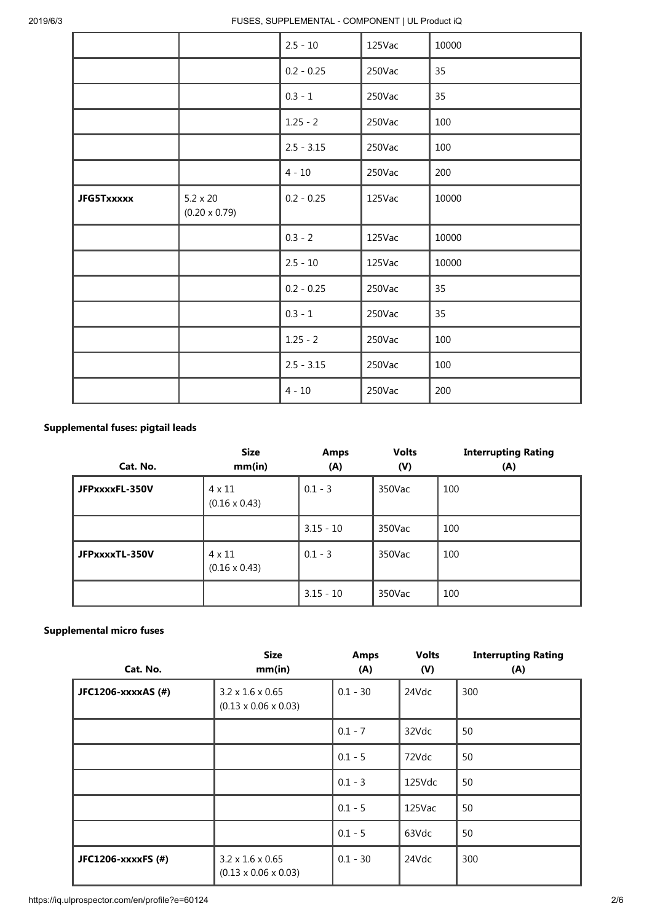2019/6/3 FUSES, SUPPLEMENTAL - COMPONENT | UL Product iQ

|                   |                                         | $2.5 - 10$   | 125Vac | 10000 |
|-------------------|-----------------------------------------|--------------|--------|-------|
|                   |                                         | $0.2 - 0.25$ | 250Vac | 35    |
|                   |                                         | $0.3 - 1$    | 250Vac | 35    |
|                   |                                         | $1.25 - 2$   | 250Vac | 100   |
|                   |                                         | $2.5 - 3.15$ | 250Vac | 100   |
|                   |                                         | $4 - 10$     | 250Vac | 200   |
| <b>JFG5Txxxxx</b> | $5.2 \times 20$<br>$(0.20 \times 0.79)$ | $0.2 - 0.25$ | 125Vac | 10000 |
|                   |                                         | $0.3 - 2$    | 125Vac | 10000 |
|                   |                                         | $2.5 - 10$   | 125Vac | 10000 |
|                   |                                         | $0.2 - 0.25$ | 250Vac | 35    |
|                   |                                         | $0.3 - 1$    | 250Vac | 35    |
|                   |                                         | $1.25 - 2$   | 250Vac | 100   |
|                   |                                         | $2.5 - 3.15$ | 250Vac | 100   |
|                   |                                         | $4 - 10$     | 250Vac | 200   |

## Supplemental fuses: pigtail leads

| Cat. No.       | <b>Size</b><br>mm(in)                 | Amps<br>(A) | <b>Volts</b><br>(V) | <b>Interrupting Rating</b><br>(A) |
|----------------|---------------------------------------|-------------|---------------------|-----------------------------------|
| JFPxxxxFL-350V | $4 \times 11$<br>$(0.16 \times 0.43)$ | $0.1 - 3$   | 350Vac              | 100                               |
|                |                                       | $3.15 - 10$ | 350Vac              | 100                               |
| JFPxxxxTL-350V | $4 \times 11$<br>$(0.16 \times 0.43)$ | $0.1 - 3$   | 350Vac              | 100                               |
|                |                                       | $3.15 - 10$ | 350Vac              | 100                               |

#### Supplemental micro fuses

| Cat. No.           | <b>Size</b><br>mm(in)                                            | <b>Amps</b><br>(A) | <b>Volts</b><br>(V) | <b>Interrupting Rating</b><br>(A) |
|--------------------|------------------------------------------------------------------|--------------------|---------------------|-----------------------------------|
| JFC1206-xxxxAS (#) | $3.2 \times 1.6 \times 0.65$<br>$(0.13 \times 0.06 \times 0.03)$ | $0.1 - 30$         | 24Vdc               | 300                               |
|                    |                                                                  | $0.1 - 7$          | 32Vdc               | 50                                |
|                    |                                                                  | $0.1 - 5$          | 72Vdc               | 50                                |
|                    |                                                                  | $0.1 - 3$          | 125Vdc              | 50                                |
|                    |                                                                  | $0.1 - 5$          | 125Vac              | 50                                |
|                    |                                                                  | $0.1 - 5$          | 63Vdc               | 50                                |
| JFC1206-xxxxFS (#) | $3.2 \times 1.6 \times 0.65$<br>$(0.13 \times 0.06 \times 0.03)$ | $0.1 - 30$         | 24Vdc               | 300                               |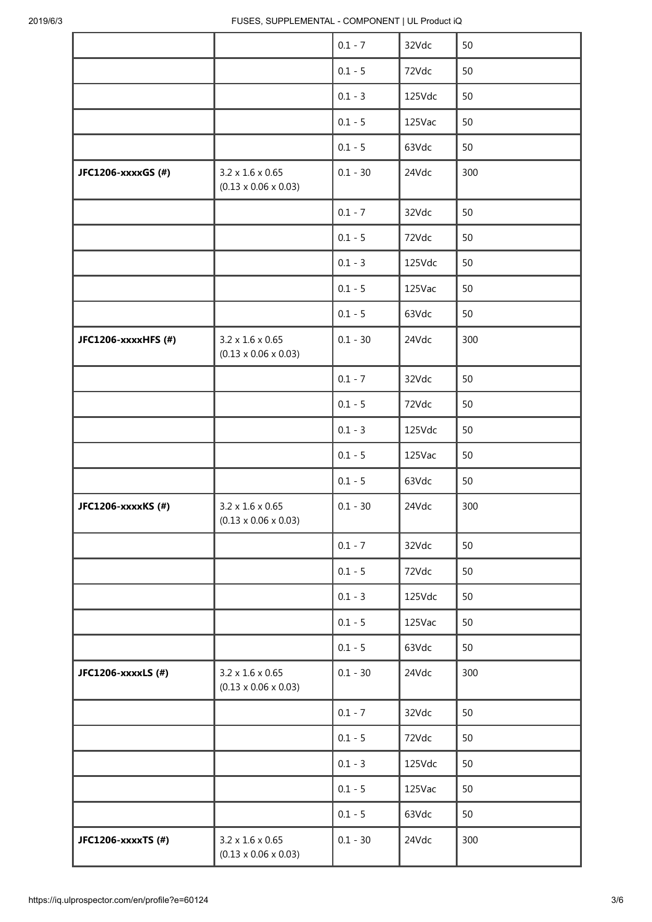|                     |                                                                  | $0.1 - 7$  | 32Vdc  | 50  |
|---------------------|------------------------------------------------------------------|------------|--------|-----|
|                     |                                                                  | $0.1 - 5$  | 72Vdc  | 50  |
|                     |                                                                  | $0.1 - 3$  | 125Vdc | 50  |
|                     |                                                                  | $0.1 - 5$  | 125Vac | 50  |
|                     |                                                                  | $0.1 - 5$  | 63Vdc  | 50  |
| JFC1206-xxxxGS (#)  | $3.2 \times 1.6 \times 0.65$<br>$(0.13 \times 0.06 \times 0.03)$ | $0.1 - 30$ | 24Vdc  | 300 |
|                     |                                                                  | $0.1 - 7$  | 32Vdc  | 50  |
|                     |                                                                  | $0.1 - 5$  | 72Vdc  | 50  |
|                     |                                                                  | $0.1 - 3$  | 125Vdc | 50  |
|                     |                                                                  | $0.1 - 5$  | 125Vac | 50  |
|                     |                                                                  | $0.1 - 5$  | 63Vdc  | 50  |
| JFC1206-xxxxHFS (#) | $3.2 \times 1.6 \times 0.65$<br>$(0.13 \times 0.06 \times 0.03)$ | $0.1 - 30$ | 24Vdc  | 300 |
|                     |                                                                  | $0.1 - 7$  | 32Vdc  | 50  |
|                     |                                                                  | $0.1 - 5$  | 72Vdc  | 50  |
|                     |                                                                  | $0.1 - 3$  | 125Vdc | 50  |
|                     |                                                                  | $0.1 - 5$  | 125Vac | 50  |
|                     |                                                                  | $0.1 - 5$  | 63Vdc  | 50  |
| JFC1206-xxxxKS (#)  | $3.2 \times 1.6 \times 0.65$<br>$(0.13 \times 0.06 \times 0.03)$ | $0.1 - 30$ | 24Vdc  | 300 |
|                     |                                                                  | $0.1 - 7$  | 32Vdc  | 50  |
|                     |                                                                  | $0.1 - 5$  | 72Vdc  | 50  |
|                     |                                                                  | $0.1 - 3$  | 125Vdc | 50  |
|                     |                                                                  | $0.1 - 5$  | 125Vac | 50  |
|                     |                                                                  | $0.1 - 5$  | 63Vdc  | 50  |
| JFC1206-xxxxLS (#)  | $3.2 \times 1.6 \times 0.65$<br>$(0.13 \times 0.06 \times 0.03)$ | $0.1 - 30$ | 24Vdc  | 300 |
|                     |                                                                  | $0.1 - 7$  | 32Vdc  | 50  |
|                     |                                                                  | $0.1 - 5$  | 72Vdc  | 50  |
|                     |                                                                  | $0.1 - 3$  | 125Vdc | 50  |
|                     |                                                                  | $0.1 - 5$  | 125Vac | 50  |
|                     |                                                                  | $0.1 - 5$  | 63Vdc  | 50  |
| JFC1206-xxxxTS (#)  | $3.2 \times 1.6 \times 0.65$<br>$(0.13 \times 0.06 \times 0.03)$ | $0.1 - 30$ | 24Vdc  | 300 |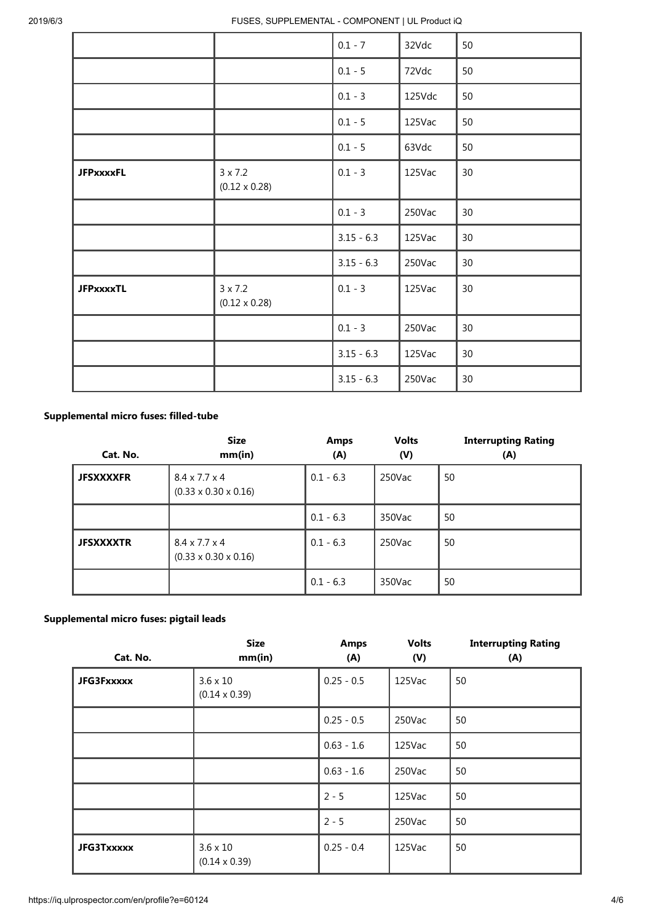|                  |                                        | $0.1 - 7$    | 32Vdc  | 50              |
|------------------|----------------------------------------|--------------|--------|-----------------|
|                  |                                        | $0.1 - 5$    | 72Vdc  | 50              |
|                  |                                        | $0.1 - 3$    | 125Vdc | 50              |
|                  |                                        | $0.1 - 5$    | 125Vac | 50              |
|                  |                                        | $0.1 - 5$    | 63Vdc  | 50              |
| <b>JFPxxxxFL</b> | $3 \times 7.2$<br>$(0.12 \times 0.28)$ | $0.1 - 3$    | 125Vac | 30 <sup>°</sup> |
|                  |                                        | $0.1 - 3$    | 250Vac | 30              |
|                  |                                        | $3.15 - 6.3$ | 125Vac | 30              |
|                  |                                        | $3.15 - 6.3$ | 250Vac | 30              |
| <b>JFPxxxxTL</b> | $3 \times 7.2$<br>$(0.12 \times 0.28)$ | $0.1 - 3$    | 125Vac | 30 <sup>°</sup> |
|                  |                                        | $0.1 - 3$    | 250Vac | 30              |
|                  |                                        | $3.15 - 6.3$ | 125Vac | 30 <sup>°</sup> |
|                  |                                        | $3.15 - 6.3$ | 250Vac | 30              |

#### Supplemental micro fuses: filled-tube

| Cat. No.         | <b>Size</b><br>mm(in)                                         | <b>Amps</b><br>(A) | <b>Volts</b><br>(V) | <b>Interrupting Rating</b><br>(A) |
|------------------|---------------------------------------------------------------|--------------------|---------------------|-----------------------------------|
| <b>JFSXXXXFR</b> | $8.4 \times 7.7 \times 4$<br>$(0.33 \times 0.30 \times 0.16)$ | $0.1 - 6.3$        | $250$ Vac           | 50                                |
|                  |                                                               | $0.1 - 6.3$        | 350Vac              | 50                                |
| <b>JFSXXXXTR</b> | $8.4 \times 7.7 \times 4$<br>$(0.33 \times 0.30 \times 0.16)$ | $0.1 - 6.3$        | 250Vac              | 50                                |
|                  |                                                               | $0.1 - 6.3$        | 350Vac              | 50                                |

#### Supplemental micro fuses: pigtail leads

| Cat. No.          | <b>Size</b><br>mm(in)                   | <b>Amps</b><br>(A) | <b>Volts</b><br>(V) | <b>Interrupting Rating</b><br>(A) |
|-------------------|-----------------------------------------|--------------------|---------------------|-----------------------------------|
| <b>JFG3Fxxxxx</b> | $3.6 \times 10$<br>$(0.14 \times 0.39)$ | $0.25 - 0.5$       | 125Vac              | 50                                |
|                   |                                         | $0.25 - 0.5$       | 250Vac              | 50                                |
|                   |                                         | $0.63 - 1.6$       | 125Vac              | 50                                |
|                   |                                         | $0.63 - 1.6$       | 250Vac              | 50                                |
|                   |                                         | $2 - 5$            | 125Vac              | 50                                |
|                   |                                         | $2 - 5$            | 250Vac              | 50                                |
| <b>JFG3Txxxxx</b> | $3.6 \times 10$<br>$(0.14 \times 0.39)$ | $0.25 - 0.4$       | 125Vac              | 50                                |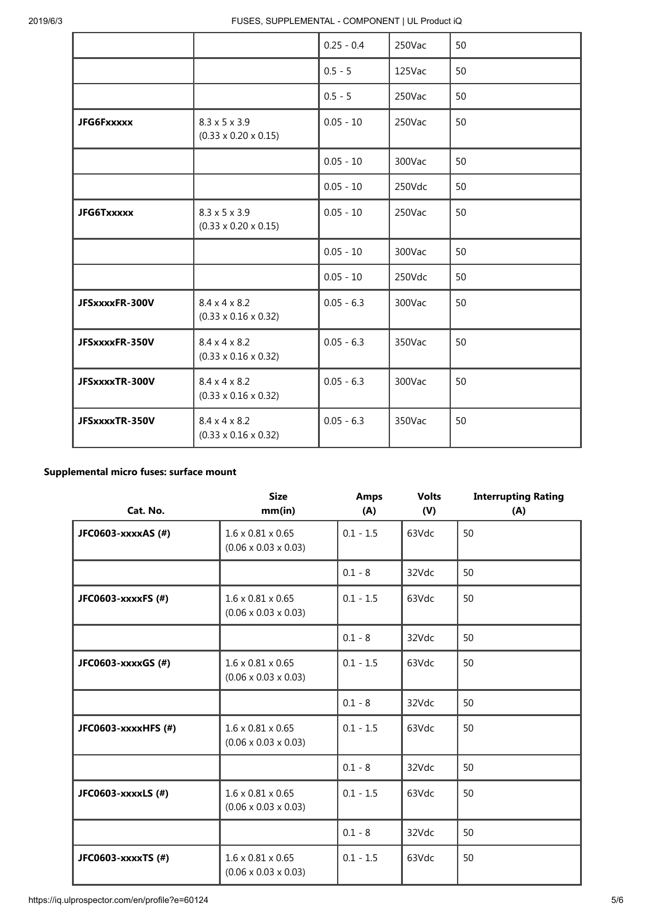|                   |                                                               | $0.25 - 0.4$ | 250Vac | 50 |
|-------------------|---------------------------------------------------------------|--------------|--------|----|
|                   |                                                               | $0.5 - 5$    | 125Vac | 50 |
|                   |                                                               | $0.5 - 5$    | 250Vac | 50 |
| <b>JFG6Fxxxxx</b> | $8.3 \times 5 \times 3.9$<br>$(0.33 \times 0.20 \times 0.15)$ | $0.05 - 10$  | 250Vac | 50 |
|                   |                                                               | $0.05 - 10$  | 300Vac | 50 |
|                   |                                                               | $0.05 - 10$  | 250Vdc | 50 |
| <b>JFG6Txxxxx</b> | $8.3 \times 5 \times 3.9$<br>$(0.33 \times 0.20 \times 0.15)$ | $0.05 - 10$  | 250Vac | 50 |
|                   |                                                               | $0.05 - 10$  | 300Vac | 50 |
|                   |                                                               | $0.05 - 10$  | 250Vdc | 50 |
| JFSxxxxFR-300V    | $8.4 \times 4 \times 8.2$<br>$(0.33 \times 0.16 \times 0.32)$ | $0.05 - 6.3$ | 300Vac | 50 |
| JFSxxxxFR-350V    | $8.4 \times 4 \times 8.2$<br>$(0.33 \times 0.16 \times 0.32)$ | $0.05 - 6.3$ | 350Vac | 50 |
| JFSxxxxTR-300V    | $8.4 \times 4 \times 8.2$<br>$(0.33 \times 0.16 \times 0.32)$ | $0.05 - 6.3$ | 300Vac | 50 |
| JFSxxxxTR-350V    | $8.4 \times 4 \times 8.2$<br>$(0.33 \times 0.16 \times 0.32)$ | $0.05 - 6.3$ | 350Vac | 50 |

#### Supplemental micro fuses: surface mount

| Cat. No.            | <b>Size</b><br>mm(in)                                             | <b>Amps</b><br>(A) | <b>Volts</b><br>(V) | <b>Interrupting Rating</b><br>(A) |
|---------------------|-------------------------------------------------------------------|--------------------|---------------------|-----------------------------------|
| JFC0603-xxxxAS (#)  | $1.6 \times 0.81 \times 0.65$<br>$(0.06 \times 0.03 \times 0.03)$ | $0.1 - 1.5$        | 63Vdc               | 50                                |
|                     |                                                                   | $0.1 - 8$          | 32Vdc               | 50                                |
| JFC0603-xxxxFS (#)  | $1.6 \times 0.81 \times 0.65$<br>$(0.06 \times 0.03 \times 0.03)$ | $0.1 - 1.5$        | 63Vdc               | 50                                |
|                     |                                                                   | $0.1 - 8$          | 32Vdc               | 50                                |
| JFC0603-xxxxGS (#)  | $1.6 \times 0.81 \times 0.65$<br>$(0.06 \times 0.03 \times 0.03)$ | $0.1 - 1.5$        | 63Vdc               | 50                                |
|                     |                                                                   | $0.1 - 8$          | 32Vdc               | 50                                |
| JFC0603-xxxxHFS (#) | $1.6 \times 0.81 \times 0.65$<br>$(0.06 \times 0.03 \times 0.03)$ | $0.1 - 1.5$        | 63Vdc               | 50                                |
|                     |                                                                   | $0.1 - 8$          | 32Vdc               | 50                                |
| JFC0603-xxxxLS (#)  | $1.6 \times 0.81 \times 0.65$<br>$(0.06 \times 0.03 \times 0.03)$ | $0.1 - 1.5$        | 63Vdc               | 50                                |
|                     |                                                                   | $0.1 - 8$          | 32Vdc               | 50                                |
| JFC0603-xxxxTS (#)  | $1.6 \times 0.81 \times 0.65$<br>$(0.06 \times 0.03 \times 0.03)$ | $0.1 - 1.5$        | 63Vdc               | 50                                |